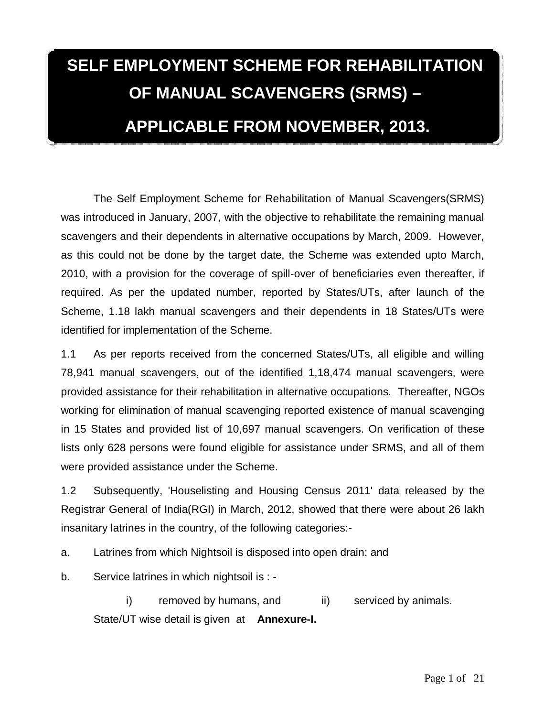# **SELF EMPLOYMENT SCHEME FOR REHABILITATION OF MANUAL SCAVENGERS (SRMS) – APPLICABLE FROM NOVEMBER, 2013.**

The Self Employment Scheme for Rehabilitation of Manual Scavengers(SRMS) was introduced in January, 2007, with the objective to rehabilitate the remaining manual scavengers and their dependents in alternative occupations by March, 2009. However, as this could not be done by the target date, the Scheme was extended upto March, 2010, with a provision for the coverage of spill-over of beneficiaries even thereafter, if required. As per the updated number, reported by States/UTs, after launch of the Scheme, 1.18 lakh manual scavengers and their dependents in 18 States/UTs were identified for implementation of the Scheme.

1.1 As per reports received from the concerned States/UTs, all eligible and willing 78,941 manual scavengers, out of the identified 1,18,474 manual scavengers, were provided assistance for their rehabilitation in alternative occupations. Thereafter, NGOs working for elimination of manual scavenging reported existence of manual scavenging in 15 States and provided list of 10,697 manual scavengers. On verification of these lists only 628 persons were found eligible for assistance under SRMS, and all of them were provided assistance under the Scheme.

1.2 Subsequently, 'Houselisting and Housing Census 2011' data released by the Registrar General of India(RGI) in March, 2012, showed that there were about 26 lakh insanitary latrines in the country, of the following categories:-

a. Latrines from which Nightsoil is disposed into open drain; and

b. Service latrines in which nightsoil is : -

i) removed by humans, and ii) serviced by animals. State/UT wise detail is given at **Annexure-I.**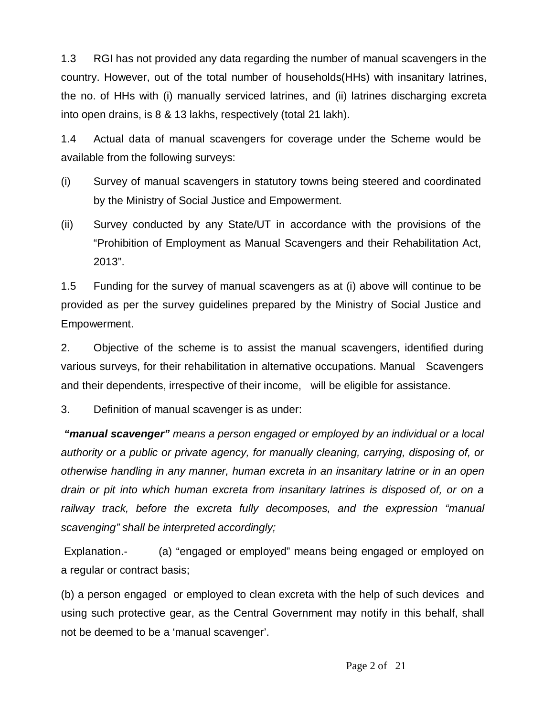1.3 RGI has not provided any data regarding the number of manual scavengers in the country. However, out of the total number of households(HHs) with insanitary latrines, the no. of HHs with (i) manually serviced latrines, and (ii) latrines discharging excreta into open drains, is 8 & 13 lakhs, respectively (total 21 lakh).

1.4 Actual data of manual scavengers for coverage under the Scheme would be available from the following surveys:

- (i) Survey of manual scavengers in statutory towns being steered and coordinated by the Ministry of Social Justice and Empowerment.
- (ii) Survey conducted by any State/UT in accordance with the provisions of the "Prohibition of Employment as Manual Scavengers and their Rehabilitation Act, 2013".

1.5 Funding for the survey of manual scavengers as at (i) above will continue to be provided as per the survey guidelines prepared by the Ministry of Social Justice and Empowerment.

2. Objective of the scheme is to assist the manual scavengers, identified during various surveys, for their rehabilitation in alternative occupations. Manual Scavengers and their dependents, irrespective of their income, will be eligible for assistance.

3. Definition of manual scavenger is as under:

*"manual scavenger" means a person engaged or employed by an individual or a local authority or a public or private agency, for manually cleaning, carrying, disposing of, or otherwise handling in any manner, human excreta in an insanitary latrine or in an open drain or pit into which human excreta from insanitary latrines is disposed of, or on a railway track, before the excreta fully decomposes, and the expression "manual scavenging" shall be interpreted accordingly;* 

Explanation.- (a) "engaged or employed" means being engaged or employed on a regular or contract basis;

(b) a person engaged or employed to clean excreta with the help of such devices and using such protective gear, as the Central Government may notify in this behalf, shall not be deemed to be a 'manual scavenger'.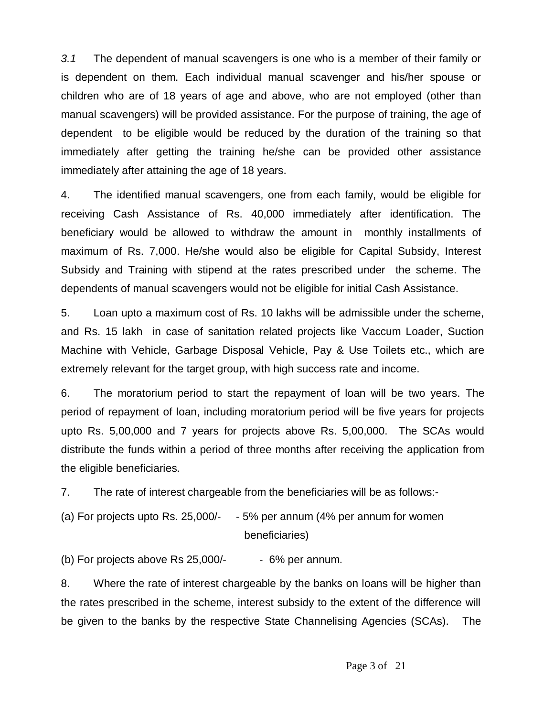*3.1* The dependent of manual scavengers is one who is a member of their family or is dependent on them. Each individual manual scavenger and his/her spouse or children who are of 18 years of age and above, who are not employed (other than manual scavengers) will be provided assistance. For the purpose of training, the age of dependent to be eligible would be reduced by the duration of the training so that immediately after getting the training he/she can be provided other assistance immediately after attaining the age of 18 years.

4. The identified manual scavengers, one from each family, would be eligible for receiving Cash Assistance of Rs. 40,000 immediately after identification. The beneficiary would be allowed to withdraw the amount in monthly installments of maximum of Rs. 7,000. He/she would also be eligible for Capital Subsidy, Interest Subsidy and Training with stipend at the rates prescribed under the scheme. The dependents of manual scavengers would not be eligible for initial Cash Assistance.

5. Loan upto a maximum cost of Rs. 10 lakhs will be admissible under the scheme, and Rs. 15 lakh in case of sanitation related projects like Vaccum Loader, Suction Machine with Vehicle, Garbage Disposal Vehicle, Pay & Use Toilets etc., which are extremely relevant for the target group, with high success rate and income.

6. The moratorium period to start the repayment of loan will be two years. The period of repayment of loan, including moratorium period will be five years for projects upto Rs. 5,00,000 and 7 years for projects above Rs. 5,00,000. The SCAs would distribute the funds within a period of three months after receiving the application from the eligible beneficiaries.

7. The rate of interest chargeable from the beneficiaries will be as follows:-

(a) For projects upto Rs. 25,000/- - 5% per annum (4% per annum for women beneficiaries)

(b) For projects above Rs  $25,000/$ - - 6% per annum.

8. Where the rate of interest chargeable by the banks on loans will be higher than the rates prescribed in the scheme, interest subsidy to the extent of the difference will be given to the banks by the respective State Channelising Agencies (SCAs). The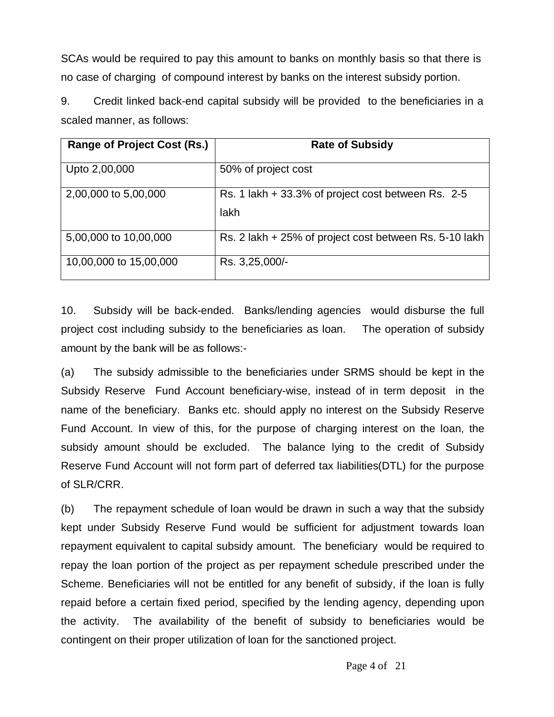SCAs would be required to pay this amount to banks on monthly basis so that there is no case of charging of compound interest by banks on the interest subsidy portion.

9. Credit linked back-end capital subsidy will be provided to the beneficiaries in a scaled manner, as follows:

| <b>Range of Project Cost (Rs.)</b> | <b>Rate of Subsidy</b>                                     |
|------------------------------------|------------------------------------------------------------|
| Upto 2,00,000                      | 50% of project cost                                        |
| 2,00,000 to 5,00,000               | Rs. 1 lakh + 33.3% of project cost between Rs. 2-5<br>lakh |
| 5,00,000 to 10,00,000              | Rs. 2 lakh + 25% of project cost between Rs. 5-10 lakh     |
| 10,00,000 to 15,00,000             | Rs. 3,25,000/-                                             |

10. Subsidy will be back-ended. Banks/lending agencies would disburse the full project cost including subsidy to the beneficiaries as loan. The operation of subsidy amount by the bank will be as follows:-

(a) The subsidy admissible to the beneficiaries under SRMS should be kept in the Subsidy Reserve Fund Account beneficiary-wise, instead of in term deposit in the name of the beneficiary. Banks etc. should apply no interest on the Subsidy Reserve Fund Account. In view of this, for the purpose of charging interest on the loan, the subsidy amount should be excluded. The balance lying to the credit of Subsidy Reserve Fund Account will not form part of deferred tax liabilities(DTL) for the purpose of SLR/CRR.

(b) The repayment schedule of loan would be drawn in such a way that the subsidy kept under Subsidy Reserve Fund would be sufficient for adjustment towards loan repayment equivalent to capital subsidy amount. The beneficiary would be required to repay the loan portion of the project as per repayment schedule prescribed under the Scheme. Beneficiaries will not be entitled for any benefit of subsidy, if the loan is fully repaid before a certain fixed period, specified by the lending agency, depending upon the activity. The availability of the benefit of subsidy to beneficiaries would be contingent on their proper utilization of loan for the sanctioned project.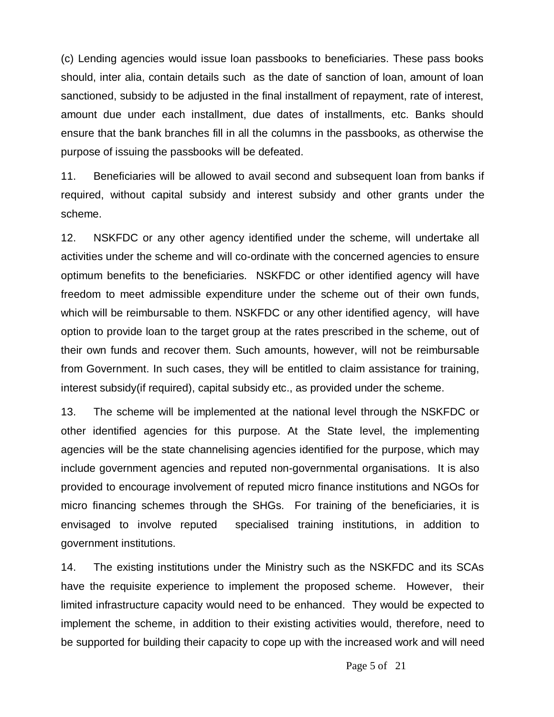(c) Lending agencies would issue loan passbooks to beneficiaries. These pass books should, inter alia, contain details such as the date of sanction of loan, amount of loan sanctioned, subsidy to be adjusted in the final installment of repayment, rate of interest, amount due under each installment, due dates of installments, etc. Banks should ensure that the bank branches fill in all the columns in the passbooks, as otherwise the purpose of issuing the passbooks will be defeated.

11. Beneficiaries will be allowed to avail second and subsequent loan from banks if required, without capital subsidy and interest subsidy and other grants under the scheme.

12. NSKFDC or any other agency identified under the scheme, will undertake all activities under the scheme and will co-ordinate with the concerned agencies to ensure optimum benefits to the beneficiaries. NSKFDC or other identified agency will have freedom to meet admissible expenditure under the scheme out of their own funds, which will be reimbursable to them. NSKFDC or any other identified agency, will have option to provide loan to the target group at the rates prescribed in the scheme, out of their own funds and recover them. Such amounts, however, will not be reimbursable from Government. In such cases, they will be entitled to claim assistance for training, interest subsidy(if required), capital subsidy etc., as provided under the scheme.

13. The scheme will be implemented at the national level through the NSKFDC or other identified agencies for this purpose. At the State level, the implementing agencies will be the state channelising agencies identified for the purpose, which may include government agencies and reputed non-governmental organisations. It is also provided to encourage involvement of reputed micro finance institutions and NGOs for micro financing schemes through the SHGs. For training of the beneficiaries, it is envisaged to involve reputed specialised training institutions, in addition to government institutions.

14. The existing institutions under the Ministry such as the NSKFDC and its SCAs have the requisite experience to implement the proposed scheme. However, their limited infrastructure capacity would need to be enhanced. They would be expected to implement the scheme, in addition to their existing activities would, therefore, need to be supported for building their capacity to cope up with the increased work and will need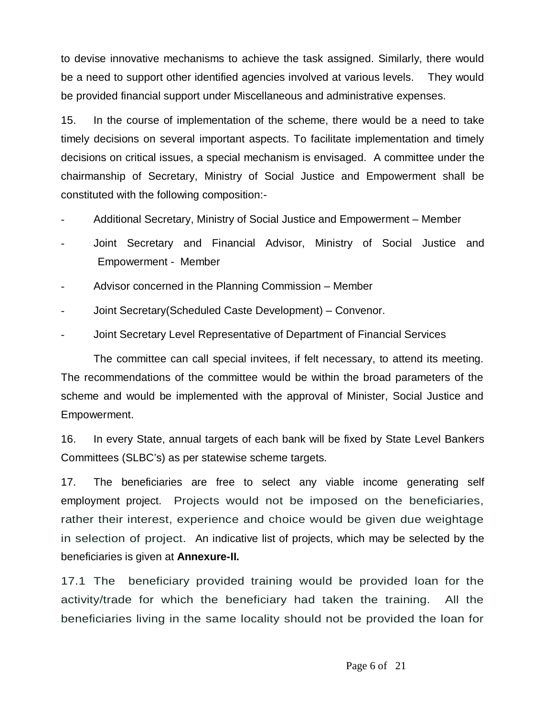to devise innovative mechanisms to achieve the task assigned. Similarly, there would be a need to support other identified agencies involved at various levels. They would be provided financial support under Miscellaneous and administrative expenses.

15. In the course of implementation of the scheme, there would be a need to take timely decisions on several important aspects. To facilitate implementation and timely decisions on critical issues, a special mechanism is envisaged. A committee under the chairmanship of Secretary, Ministry of Social Justice and Empowerment shall be constituted with the following composition:-

- Additional Secretary, Ministry of Social Justice and Empowerment Member
- Joint Secretary and Financial Advisor, Ministry of Social Justice and Empowerment - Member
- Advisor concerned in the Planning Commission Member
- Joint Secretary(Scheduled Caste Development) Convenor.
- Joint Secretary Level Representative of Department of Financial Services

The committee can call special invitees, if felt necessary, to attend its meeting. The recommendations of the committee would be within the broad parameters of the scheme and would be implemented with the approval of Minister, Social Justice and Empowerment.

16. In every State, annual targets of each bank will be fixed by State Level Bankers Committees (SLBC's) as per statewise scheme targets.

17. The beneficiaries are free to select any viable income generating self employment project. Projects would not be imposed on the beneficiaries, rather their interest, experience and choice would be given due weightage in selection of project. An indicative list of projects, which may be selected by the beneficiaries is given at **Annexure-II.** 

17.1 The beneficiary provided training would be provided loan for the activity/trade for which the beneficiary had taken the training. All the beneficiaries living in the same locality should not be provided the loan for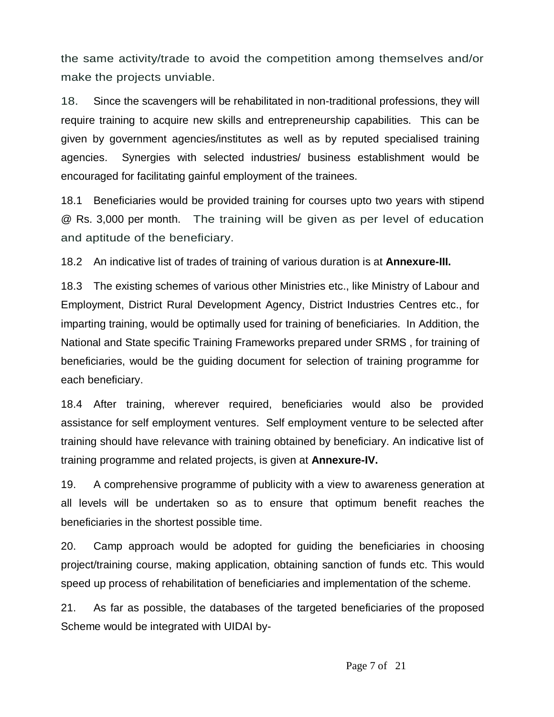the same activity/trade to avoid the competition among themselves and/or make the projects unviable.

18. Since the scavengers will be rehabilitated in non-traditional professions, they will require training to acquire new skills and entrepreneurship capabilities. This can be given by government agencies/institutes as well as by reputed specialised training agencies. Synergies with selected industries/ business establishment would be encouraged for facilitating gainful employment of the trainees.

18.1 Beneficiaries would be provided training for courses upto two years with stipend @ Rs. 3,000 per month. The training will be given as per level of education and aptitude of the beneficiary.

18.2 An indicative list of trades of training of various duration is at **Annexure-III.** 

18.3 The existing schemes of various other Ministries etc., like Ministry of Labour and Employment, District Rural Development Agency, District Industries Centres etc., for imparting training, would be optimally used for training of beneficiaries. In Addition, the National and State specific Training Frameworks prepared under SRMS , for training of beneficiaries, would be the guiding document for selection of training programme for each beneficiary.

18.4 After training, wherever required, beneficiaries would also be provided assistance for self employment ventures. Self employment venture to be selected after training should have relevance with training obtained by beneficiary. An indicative list of training programme and related projects, is given at **Annexure-IV.**

19. A comprehensive programme of publicity with a view to awareness generation at all levels will be undertaken so as to ensure that optimum benefit reaches the beneficiaries in the shortest possible time.

20. Camp approach would be adopted for guiding the beneficiaries in choosing project/training course, making application, obtaining sanction of funds etc. This would speed up process of rehabilitation of beneficiaries and implementation of the scheme.

21. As far as possible, the databases of the targeted beneficiaries of the proposed Scheme would be integrated with UIDAI by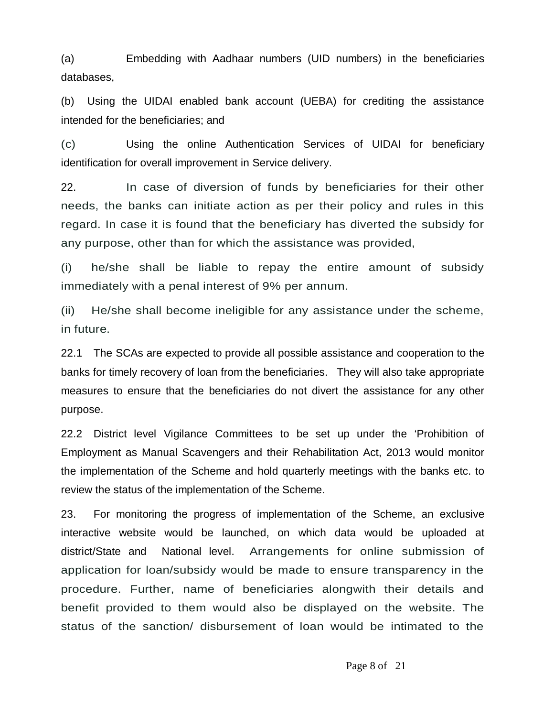(a) Embedding with Aadhaar numbers (UID numbers) in the beneficiaries databases,

(b) Using the UIDAI enabled bank account (UEBA) for crediting the assistance intended for the beneficiaries; and

(c) Using the online Authentication Services of UIDAI for beneficiary identification for overall improvement in Service delivery.

22. In case of diversion of funds by beneficiaries for their other needs, the banks can initiate action as per their policy and rules in this regard. In case it is found that the beneficiary has diverted the subsidy for any purpose, other than for which the assistance was provided,

(i) he/she shall be liable to repay the entire amount of subsidy immediately with a penal interest of 9% per annum.

(ii) He/she shall become ineligible for any assistance under the scheme, in future.

22.1 The SCAs are expected to provide all possible assistance and cooperation to the banks for timely recovery of loan from the beneficiaries. They will also take appropriate measures to ensure that the beneficiaries do not divert the assistance for any other purpose.

22.2 District level Vigilance Committees to be set up under the 'Prohibition of Employment as Manual Scavengers and their Rehabilitation Act, 2013 would monitor the implementation of the Scheme and hold quarterly meetings with the banks etc. to review the status of the implementation of the Scheme.

23. For monitoring the progress of implementation of the Scheme, an exclusive interactive website would be launched, on which data would be uploaded at district/State and National level. Arrangements for online submission of application for loan/subsidy would be made to ensure transparency in the procedure. Further, name of beneficiaries alongwith their details and benefit provided to them would also be displayed on the website. The status of the sanction/ disbursement of loan would be intimated to the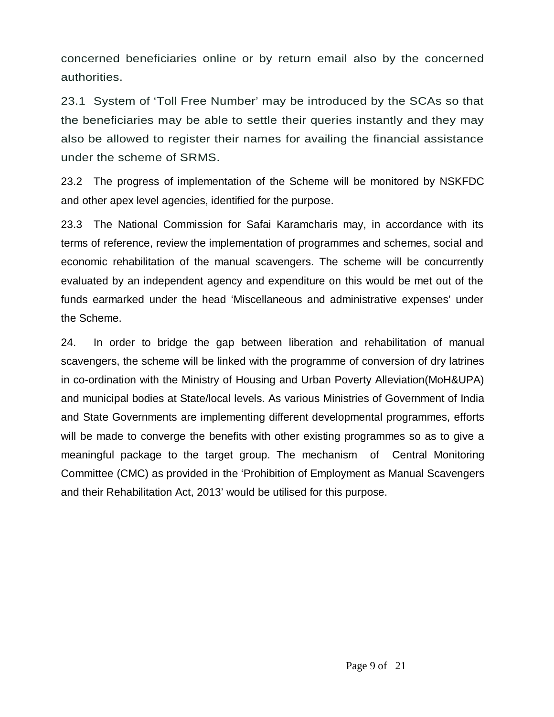concerned beneficiaries online or by return email also by the concerned authorities.

23.1 System of 'Toll Free Number' may be introduced by the SCAs so that the beneficiaries may be able to settle their queries instantly and they may also be allowed to register their names for availing the financial assistance under the scheme of SRMS.

23.2 The progress of implementation of the Scheme will be monitored by NSKFDC and other apex level agencies, identified for the purpose.

23.3 The National Commission for Safai Karamcharis may, in accordance with its terms of reference, review the implementation of programmes and schemes, social and economic rehabilitation of the manual scavengers. The scheme will be concurrently evaluated by an independent agency and expenditure on this would be met out of the funds earmarked under the head 'Miscellaneous and administrative expenses' under the Scheme.

24. In order to bridge the gap between liberation and rehabilitation of manual scavengers, the scheme will be linked with the programme of conversion of dry latrines in co-ordination with the Ministry of Housing and Urban Poverty Alleviation(MoH&UPA) and municipal bodies at State/local levels. As various Ministries of Government of India and State Governments are implementing different developmental programmes, efforts will be made to converge the benefits with other existing programmes so as to give a meaningful package to the target group. The mechanism of Central Monitoring Committee (CMC) as provided in the 'Prohibition of Employment as Manual Scavengers and their Rehabilitation Act, 2013' would be utilised for this purpose.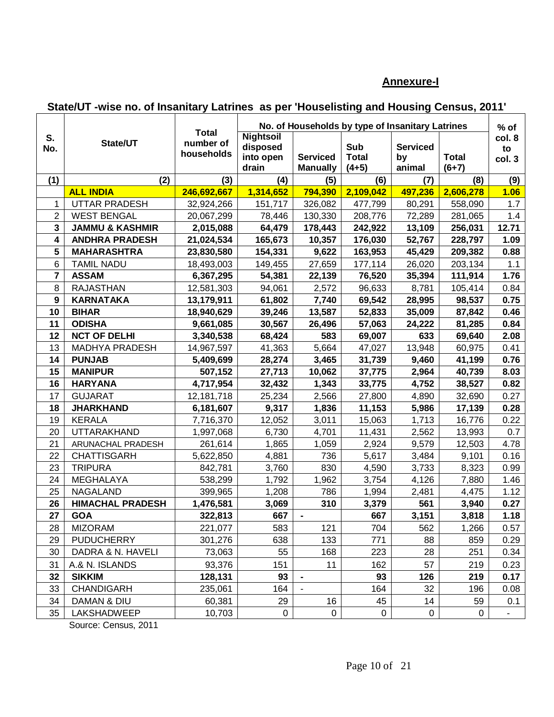### **Annexure-I**

## **State/UT -wise no. of Insanitary Latrines as per 'Houselisting and Housing Census, 2011'**

|                         |                            | <b>Total</b>            | No. of Households by type of Insanitary Latrines   |                                    |                                |                                 |                         |                        |
|-------------------------|----------------------------|-------------------------|----------------------------------------------------|------------------------------------|--------------------------------|---------------------------------|-------------------------|------------------------|
| S.<br>No.               | State/UT                   | number of<br>households | <b>Nightsoil</b><br>disposed<br>into open<br>drain | <b>Serviced</b><br><b>Manually</b> | Sub<br><b>Total</b><br>$(4+5)$ | <b>Serviced</b><br>by<br>animal | <b>Total</b><br>$(6+7)$ | col. 8<br>to<br>col. 3 |
| (1)                     | (2)                        | (3)                     | (4)                                                | (5)                                | (6)                            | (7)                             | (8)                     | (9)                    |
|                         | <b>ALL INDIA</b>           | 246,692,667             | 1,314,652                                          | 794,390                            | 2,109,042                      | 497,236                         | 2,606,278               | 1.06                   |
| 1                       | UTTAR PRADESH              | 32,924,266              | 151,717                                            | 326,082                            | 477,799                        | 80,291                          | 558,090                 | 1.7                    |
| $\overline{2}$          | <b>WEST BENGAL</b>         | 20,067,299              | 78,446                                             | 130,330                            | 208,776                        | 72,289                          | 281,065                 | 1.4                    |
| $\mathbf{3}$            | <b>JAMMU &amp; KASHMIR</b> | 2,015,088               | 64,479                                             | 178,443                            | 242,922                        | 13,109                          | 256,031                 | 12.71                  |
| $\overline{\mathbf{4}}$ | <b>ANDHRA PRADESH</b>      | 21,024,534              | 165,673                                            | 10,357                             | 176,030                        | 52,767                          | 228,797                 | 1.09                   |
| 5                       | <b>MAHARASHTRA</b>         | 23,830,580              | 154,331                                            | 9,622                              | 163,953                        | 45,429                          | 209,382                 | 0.88                   |
| 6                       | <b>TAMIL NADU</b>          | 18,493,003              | 149,455                                            | 27,659                             | 177,114                        | 26,020                          | 203,134                 | 1.1                    |
| $\overline{7}$          | <b>ASSAM</b>               | 6,367,295               | 54,381                                             | 22,139                             | 76,520                         | 35,394                          | 111,914                 | 1.76                   |
| 8                       | <b>RAJASTHAN</b>           | 12,581,303              | 94,061                                             | 2,572                              | 96,633                         | 8,781                           | 105,414                 | 0.84                   |
| 9                       | <b>KARNATAKA</b>           | 13,179,911              | 61,802                                             | 7,740                              | 69,542                         | 28,995                          | 98,537                  | 0.75                   |
| 10                      | <b>BIHAR</b>               | 18,940,629              | 39,246                                             | 13,587                             | 52,833                         | 35,009                          | 87,842                  | 0.46                   |
| 11                      | <b>ODISHA</b>              | 9,661,085               | 30,567                                             | 26,496                             | 57,063                         | 24,222                          | 81,285                  | 0.84                   |
| 12                      | <b>NCT OF DELHI</b>        | 3,340,538               | 68,424                                             | 583                                | 69,007                         | 633                             | 69,640                  | 2.08                   |
| 13                      | MADHYA PRADESH             | 14,967,597              | 41,363                                             | 5,664                              | 47,027                         | 13,948                          | 60,975                  | 0.41                   |
| 14                      | <b>PUNJAB</b>              | 5,409,699               | 28,274                                             | 3,465                              | 31,739                         | 9,460                           | 41,199                  | 0.76                   |
| 15                      | <b>MANIPUR</b>             | 507,152                 | 27,713                                             | 10,062                             | 37,775                         | 2,964                           | 40,739                  | 8.03                   |
| 16                      | <b>HARYANA</b>             | 4,717,954               | 32,432                                             | 1,343                              | 33,775                         | 4,752                           | 38,527                  | 0.82                   |
| 17                      | <b>GUJARAT</b>             | 12,181,718              | 25,234                                             | 2,566                              | 27,800                         | 4,890                           | 32,690                  | 0.27                   |
| 18                      | <b>JHARKHAND</b>           | 6,181,607               | 9,317                                              | 1,836                              | 11,153                         | 5,986                           | 17,139                  | 0.28                   |
| 19                      | <b>KERALA</b>              | 7,716,370               | 12,052                                             | 3,011                              | 15,063                         | 1,713                           | 16,776                  | 0.22                   |
| 20                      | <b>UTTARAKHAND</b>         | 1,997,068               | 6,730                                              | 4,701                              | 11,431                         | 2,562                           | 13,993                  | 0.7                    |
| 21                      | ARUNACHAL PRADESH          | 261,614                 | 1,865                                              | 1,059                              | 2,924                          | 9,579                           | 12,503                  | 4.78                   |
| 22                      | <b>CHATTISGARH</b>         | 5,622,850               | 4,881                                              | 736                                | 5,617                          | 3,484                           | 9,101                   | 0.16                   |
| 23                      | <b>TRIPURA</b>             | 842,781                 | 3,760                                              | 830                                | 4,590                          | 3,733                           | 8,323                   | 0.99                   |
| 24                      | MEGHALAYA                  | 538,299                 | 1,792                                              | 1,962                              | 3,754                          | 4,126                           | 7,880                   | 1.46                   |
| 25                      | <b>NAGALAND</b>            | 399,965                 | 1,208                                              | 786                                | 1,994                          | 2,481                           | 4,475                   | 1.12                   |
| 26                      | <b>HIMACHAL PRADESH</b>    | 1,476,581               | 3,069                                              | 310                                | 3,379                          | 561                             | 3,940                   | 0.27                   |
| 27                      | <b>GOA</b>                 | 322,813                 | 667                                                | $\blacksquare$                     | 667                            | 3,151                           | 3,818                   | 1.18                   |
| 28                      | <b>MIZORAM</b>             | 221,077                 | 583                                                | 121                                | 704                            | 562                             | 1,266                   | 0.57                   |
| 29                      | <b>PUDUCHERRY</b>          | 301,276                 | 638                                                | 133                                | 771                            | 88                              | 859                     | 0.29                   |
| 30                      | DADRA & N. HAVELI          | 73,063                  | 55                                                 | 168                                | 223                            | 28                              | 251                     | 0.34                   |
| 31                      | A.& N. ISLANDS             | 93,376                  | 151                                                | 11                                 | 162                            | 57                              | 219                     | 0.23                   |
| 32                      | <b>SIKKIM</b>              | 128,131                 | 93                                                 |                                    | 93                             | 126                             | 219                     | 0.17                   |
| 33                      | <b>CHANDIGARH</b>          | 235,061                 | 164                                                |                                    | 164                            | 32                              | 196                     | 0.08                   |
| 34                      | <b>DAMAN &amp; DIU</b>     | 60,381                  | 29                                                 | 16                                 | 45                             | 14                              | 59                      | 0.1                    |
| 35                      | LAKSHADWEEP                | 10,703                  | 0                                                  | 0                                  | 0                              | $\pmb{0}$                       | 0                       | $\blacksquare$         |

Source: Census, 2011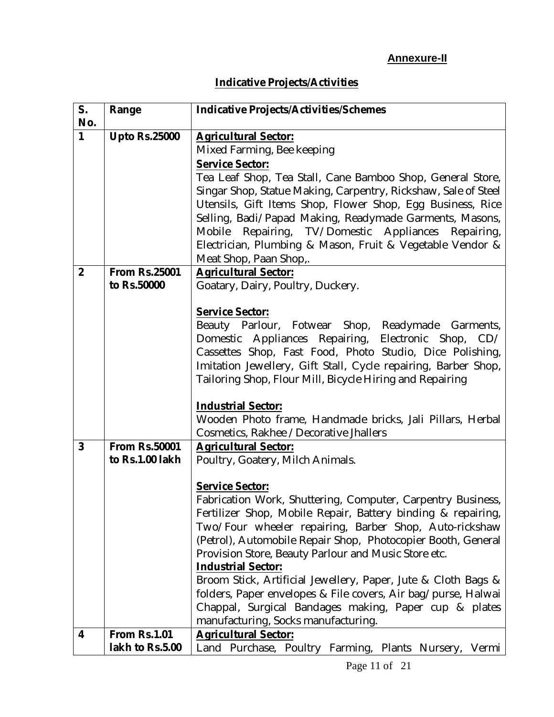# **Indicative Projects/Activities**

| S.             | Range                | <b>Indicative Projects/Activities/Schemes</b>                  |  |  |  |  |  |  |  |
|----------------|----------------------|----------------------------------------------------------------|--|--|--|--|--|--|--|
| No.            |                      |                                                                |  |  |  |  |  |  |  |
| 1              | <b>Upto Rs.25000</b> | <b>Agricultural Sector:</b>                                    |  |  |  |  |  |  |  |
|                |                      | Mixed Farming, Bee keeping                                     |  |  |  |  |  |  |  |
|                |                      | <b>Service Sector:</b>                                         |  |  |  |  |  |  |  |
|                |                      | Tea Leaf Shop, Tea Stall, Cane Bamboo Shop, General Store,     |  |  |  |  |  |  |  |
|                |                      | Singar Shop, Statue Making, Carpentry, Rickshaw, Sale of Steel |  |  |  |  |  |  |  |
|                |                      | Utensils, Gift Items Shop, Flower Shop, Egg Business, Rice     |  |  |  |  |  |  |  |
|                |                      | Selling, Badi/Papad Making, Readymade Garments, Masons,        |  |  |  |  |  |  |  |
|                |                      | Mobile Repairing, TV/Domestic Appliances Repairing,            |  |  |  |  |  |  |  |
|                |                      | Electrician, Plumbing & Mason, Fruit & Vegetable Vendor &      |  |  |  |  |  |  |  |
|                |                      | Meat Shop, Paan Shop,.                                         |  |  |  |  |  |  |  |
| $\overline{2}$ | <b>From Rs.25001</b> | <b>Agricultural Sector:</b>                                    |  |  |  |  |  |  |  |
|                | to Rs.50000          | Goatary, Dairy, Poultry, Duckery.                              |  |  |  |  |  |  |  |
|                |                      |                                                                |  |  |  |  |  |  |  |
|                |                      | <b>Service Sector:</b>                                         |  |  |  |  |  |  |  |
|                |                      | Beauty Parlour, Fotwear Shop, Readymade Garments,              |  |  |  |  |  |  |  |
|                |                      | Domestic Appliances Repairing, Electronic Shop, CD/            |  |  |  |  |  |  |  |
|                |                      | Cassettes Shop, Fast Food, Photo Studio, Dice Polishing,       |  |  |  |  |  |  |  |
|                |                      | Imitation Jewellery, Gift Stall, Cycle repairing, Barber Shop, |  |  |  |  |  |  |  |
|                |                      | Tailoring Shop, Flour Mill, Bicycle Hiring and Repairing       |  |  |  |  |  |  |  |
|                |                      |                                                                |  |  |  |  |  |  |  |
|                |                      | <b>Industrial Sector:</b>                                      |  |  |  |  |  |  |  |
|                |                      | Wooden Photo frame, Handmade bricks, Jali Pillars, Herbal      |  |  |  |  |  |  |  |
|                |                      | Cosmetics, Rakhee / Decorative Jhallers                        |  |  |  |  |  |  |  |
| $\overline{3}$ | <b>From Rs.50001</b> | <b>Agricultural Sector:</b>                                    |  |  |  |  |  |  |  |
|                | to Rs.1.00 lakh      | Poultry, Goatery, Milch Animals.                               |  |  |  |  |  |  |  |
|                |                      |                                                                |  |  |  |  |  |  |  |
|                |                      | <b>Service Sector:</b>                                         |  |  |  |  |  |  |  |
|                |                      | Fabrication Work, Shuttering, Computer, Carpentry Business,    |  |  |  |  |  |  |  |
|                |                      | Fertilizer Shop, Mobile Repair, Battery binding & repairing,   |  |  |  |  |  |  |  |
|                |                      | Two/Four wheeler repairing, Barber Shop, Auto-rickshaw         |  |  |  |  |  |  |  |
|                |                      | (Petrol), Automobile Repair Shop, Photocopier Booth, General   |  |  |  |  |  |  |  |
|                |                      | Provision Store, Beauty Parlour and Music Store etc.           |  |  |  |  |  |  |  |
|                |                      | <b>Industrial Sector:</b>                                      |  |  |  |  |  |  |  |
|                |                      | Broom Stick, Artificial Jewellery, Paper, Jute & Cloth Bags &  |  |  |  |  |  |  |  |
|                |                      | folders, Paper envelopes & File covers, Air bag/purse, Halwai  |  |  |  |  |  |  |  |
|                |                      | Chappal, Surgical Bandages making, Paper cup & plates          |  |  |  |  |  |  |  |
|                |                      | manufacturing, Socks manufacturing.                            |  |  |  |  |  |  |  |
| 4              | <b>From Rs.1.01</b>  | <b>Agricultural Sector:</b>                                    |  |  |  |  |  |  |  |
|                | lakh to Rs.5.00      | Land Purchase, Poultry Farming, Plants Nursery, Vermi          |  |  |  |  |  |  |  |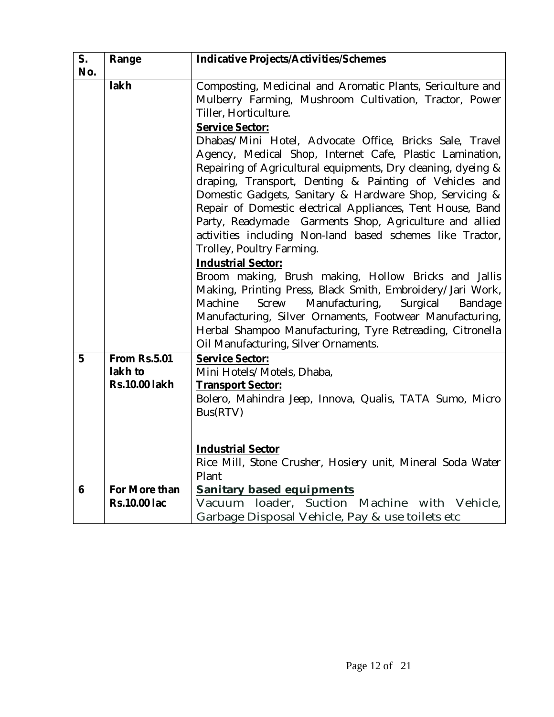| S.  | Range                | <b>Indicative Projects/Activities/Schemes</b>                                                                         |  |  |  |  |  |  |  |
|-----|----------------------|-----------------------------------------------------------------------------------------------------------------------|--|--|--|--|--|--|--|
| No. |                      |                                                                                                                       |  |  |  |  |  |  |  |
|     | lakh                 | Composting, Medicinal and Aromatic Plants, Sericulture and                                                            |  |  |  |  |  |  |  |
|     |                      | Mulberry Farming, Mushroom Cultivation, Tractor, Power                                                                |  |  |  |  |  |  |  |
|     |                      | Tiller, Horticulture.                                                                                                 |  |  |  |  |  |  |  |
|     |                      | <b>Service Sector:</b>                                                                                                |  |  |  |  |  |  |  |
|     |                      | Dhabas/Mini Hotel, Advocate Office, Bricks Sale, Travel                                                               |  |  |  |  |  |  |  |
|     |                      | Agency, Medical Shop, Internet Cafe, Plastic Lamination,                                                              |  |  |  |  |  |  |  |
|     |                      | Repairing of Agricultural equipments, Dry cleaning, dyeing &                                                          |  |  |  |  |  |  |  |
|     |                      | draping, Transport, Denting & Painting of Vehicles and                                                                |  |  |  |  |  |  |  |
|     |                      | Domestic Gadgets, Sanitary & Hardware Shop, Servicing &<br>Repair of Domestic electrical Appliances, Tent House, Band |  |  |  |  |  |  |  |
|     |                      | Party, Readymade Garments Shop, Agriculture and allied                                                                |  |  |  |  |  |  |  |
|     |                      | activities including Non-land based schemes like Tractor,                                                             |  |  |  |  |  |  |  |
|     |                      | Trolley, Poultry Farming.                                                                                             |  |  |  |  |  |  |  |
|     |                      | <b>Industrial Sector:</b>                                                                                             |  |  |  |  |  |  |  |
|     |                      | Broom making, Brush making, Hollow Bricks and Jallis                                                                  |  |  |  |  |  |  |  |
|     |                      | Making, Printing Press, Black Smith, Embroidery/Jari Work,                                                            |  |  |  |  |  |  |  |
|     |                      | Manufacturing,<br>Machine<br>Screw<br>Surgical<br>Bandage                                                             |  |  |  |  |  |  |  |
|     |                      | Manufacturing, Silver Ornaments, Footwear Manufacturing,                                                              |  |  |  |  |  |  |  |
|     |                      | Herbal Shampoo Manufacturing, Tyre Retreading, Citronella                                                             |  |  |  |  |  |  |  |
|     |                      | Oil Manufacturing, Silver Ornaments.                                                                                  |  |  |  |  |  |  |  |
| 5   | <b>From Rs.5.01</b>  | <b>Service Sector:</b>                                                                                                |  |  |  |  |  |  |  |
|     | lakh to              | Mini Hotels/Motels, Dhaba,                                                                                            |  |  |  |  |  |  |  |
|     | <b>Rs.10.00 lakh</b> | <b>Transport Sector:</b>                                                                                              |  |  |  |  |  |  |  |
|     |                      | Bolero, Mahindra Jeep, Innova, Qualis, TATA Sumo, Micro                                                               |  |  |  |  |  |  |  |
|     |                      | Bus(RTV)                                                                                                              |  |  |  |  |  |  |  |
|     |                      |                                                                                                                       |  |  |  |  |  |  |  |
|     |                      | <b>Industrial Sector</b>                                                                                              |  |  |  |  |  |  |  |
|     |                      | Rice Mill, Stone Crusher, Hosiery unit, Mineral Soda Water                                                            |  |  |  |  |  |  |  |
|     |                      | Plant                                                                                                                 |  |  |  |  |  |  |  |
| 6   | For More than        | <b>Sanitary based equipments</b>                                                                                      |  |  |  |  |  |  |  |
|     | <b>Rs.10.00 lac</b>  | loader, Suction Machine with Vehicle,<br>Vacuum                                                                       |  |  |  |  |  |  |  |
|     |                      | Garbage Disposal Vehicle, Pay & use toilets etc                                                                       |  |  |  |  |  |  |  |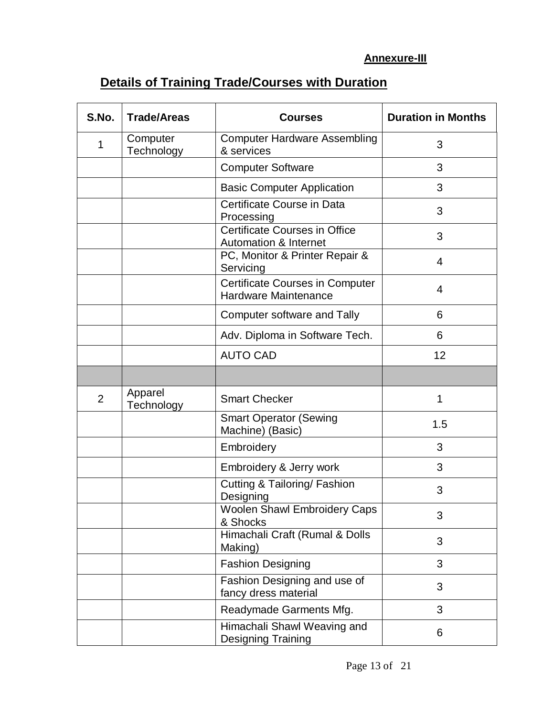## **Annexure-III**

# **Details of Training Trade/Courses with Duration**

| S.No. | <b>Trade/Areas</b>     | <b>Courses</b>                                                        | <b>Duration in Months</b> |
|-------|------------------------|-----------------------------------------------------------------------|---------------------------|
| 1     | Computer<br>Technology | <b>Computer Hardware Assembling</b><br>& services                     | 3                         |
|       |                        | <b>Computer Software</b>                                              | 3                         |
|       |                        | <b>Basic Computer Application</b>                                     | 3                         |
|       |                        | Certificate Course in Data<br>Processing                              | 3                         |
|       |                        | Certificate Courses in Office<br><b>Automation &amp; Internet</b>     | 3                         |
|       |                        | PC, Monitor & Printer Repair &<br>Servicing                           | 4                         |
|       |                        | <b>Certificate Courses in Computer</b><br><b>Hardware Maintenance</b> | 4                         |
|       |                        | Computer software and Tally                                           | 6                         |
|       |                        | Adv. Diploma in Software Tech.                                        | 6                         |
|       |                        | <b>AUTO CAD</b>                                                       | 12                        |
|       |                        |                                                                       |                           |
| 2     | Apparel<br>Technology  | <b>Smart Checker</b>                                                  | 1                         |
|       |                        | <b>Smart Operator (Sewing</b><br>Machine) (Basic)                     | 1.5                       |
|       |                        | Embroidery                                                            | 3                         |
|       |                        | Embroidery & Jerry work                                               | 3                         |
|       |                        | Cutting & Tailoring/ Fashion<br>Designing                             | 3                         |
|       |                        | <b>Woolen Shawl Embroidery Caps</b><br>& Shocks                       | 3                         |
|       |                        | Himachali Craft (Rumal & Dolls<br>Making)                             | 3                         |
|       |                        | <b>Fashion Designing</b>                                              | 3                         |
|       |                        | Fashion Designing and use of<br>fancy dress material                  | 3                         |
|       |                        | Readymade Garments Mfg.                                               | 3                         |
|       |                        | Himachali Shawl Weaving and<br><b>Designing Training</b>              | 6                         |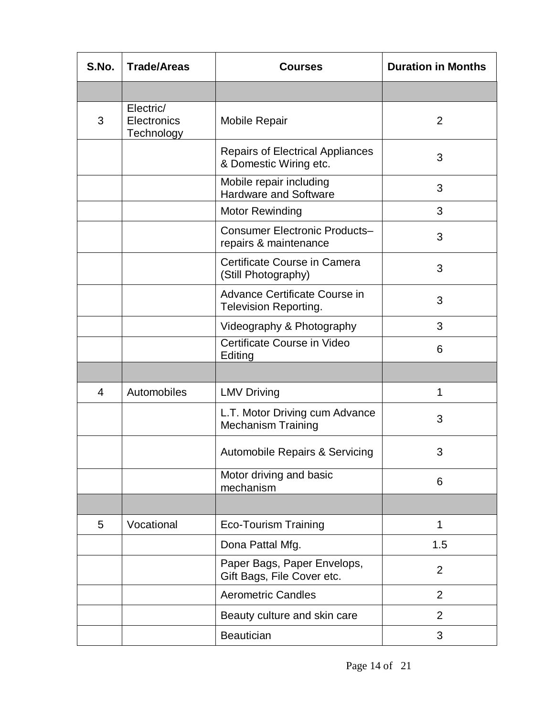| S.No. | <b>Trade/Areas</b>                     | <b>Courses</b>                                                    | <b>Duration in Months</b> |
|-------|----------------------------------------|-------------------------------------------------------------------|---------------------------|
|       |                                        |                                                                   |                           |
| 3     | Electric/<br>Electronics<br>Technology | <b>Mobile Repair</b>                                              | $\overline{2}$            |
|       |                                        | <b>Repairs of Electrical Appliances</b><br>& Domestic Wiring etc. | 3                         |
|       |                                        | Mobile repair including<br><b>Hardware and Software</b>           | 3                         |
|       |                                        | Motor Rewinding                                                   | 3                         |
|       |                                        | <b>Consumer Electronic Products-</b><br>repairs & maintenance     | 3                         |
|       |                                        | Certificate Course in Camera<br>(Still Photography)               | 3                         |
|       |                                        | Advance Certificate Course in<br><b>Television Reporting.</b>     | 3                         |
|       |                                        | Videography & Photography                                         | 3                         |
|       |                                        | Certificate Course in Video<br>Editing                            | 6                         |
|       |                                        |                                                                   |                           |
| 4     | Automobiles                            | <b>LMV Driving</b>                                                | 1                         |
|       |                                        | L.T. Motor Driving cum Advance<br><b>Mechanism Training</b>       | 3                         |
|       |                                        | <b>Automobile Repairs &amp; Servicing</b>                         | 3                         |
|       |                                        | Motor driving and basic<br>mechanism                              | 6                         |
|       |                                        |                                                                   |                           |
| 5     | Vocational                             | <b>Eco-Tourism Training</b>                                       | 1                         |
|       |                                        | Dona Pattal Mfg.                                                  | 1.5                       |
|       |                                        | Paper Bags, Paper Envelops,<br>Gift Bags, File Cover etc.         | $\overline{2}$            |
|       |                                        | <b>Aerometric Candles</b>                                         | $\overline{2}$            |
|       |                                        | Beauty culture and skin care                                      | 2                         |
|       |                                        | <b>Beautician</b>                                                 | 3                         |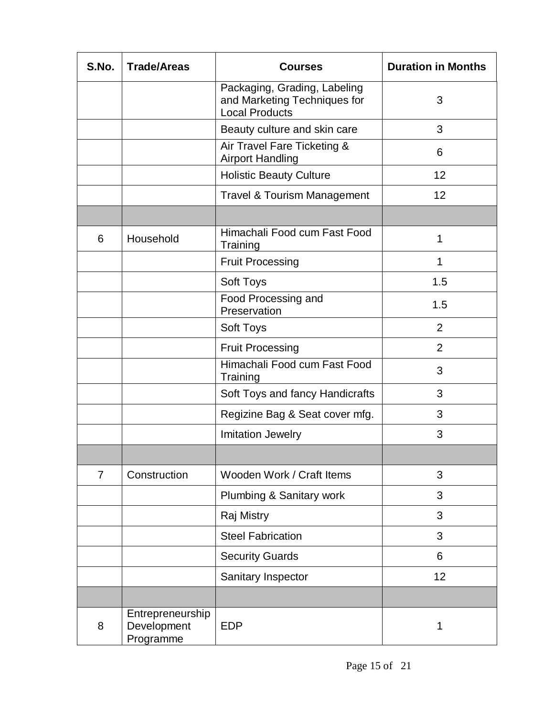| S.No.          | <b>Trade/Areas</b>                           | <b>Courses</b>                                                                        | <b>Duration in Months</b> |
|----------------|----------------------------------------------|---------------------------------------------------------------------------------------|---------------------------|
|                |                                              | Packaging, Grading, Labeling<br>and Marketing Techniques for<br><b>Local Products</b> | 3                         |
|                |                                              | Beauty culture and skin care                                                          | 3                         |
|                |                                              | Air Travel Fare Ticketing &<br><b>Airport Handling</b>                                | 6                         |
|                |                                              | <b>Holistic Beauty Culture</b>                                                        | 12                        |
|                |                                              | <b>Travel &amp; Tourism Management</b>                                                | 12                        |
|                |                                              |                                                                                       |                           |
| 6              | Household                                    | Himachali Food cum Fast Food<br>Training                                              | 1                         |
|                |                                              | <b>Fruit Processing</b>                                                               | 1                         |
|                |                                              | Soft Toys                                                                             | 1.5                       |
|                |                                              | Food Processing and<br>Preservation                                                   | 1.5                       |
|                |                                              | <b>Soft Toys</b>                                                                      | 2                         |
|                |                                              | <b>Fruit Processing</b>                                                               | $\overline{2}$            |
|                |                                              | Himachali Food cum Fast Food<br>Training                                              | 3                         |
|                |                                              | Soft Toys and fancy Handicrafts                                                       | 3                         |
|                |                                              | Regizine Bag & Seat cover mfg.                                                        | 3                         |
|                |                                              | <b>Imitation Jewelry</b>                                                              | 3                         |
|                |                                              |                                                                                       |                           |
| $\overline{7}$ | Construction                                 | Wooden Work / Craft Items                                                             | 3                         |
|                |                                              | Plumbing & Sanitary work                                                              | 3                         |
|                |                                              | Raj Mistry                                                                            | 3                         |
|                |                                              | <b>Steel Fabrication</b>                                                              | 3                         |
|                |                                              | <b>Security Guards</b>                                                                | 6                         |
|                |                                              | Sanitary Inspector                                                                    | 12                        |
|                |                                              |                                                                                       |                           |
| 8              | Entrepreneurship<br>Development<br>Programme | <b>EDP</b>                                                                            | 1                         |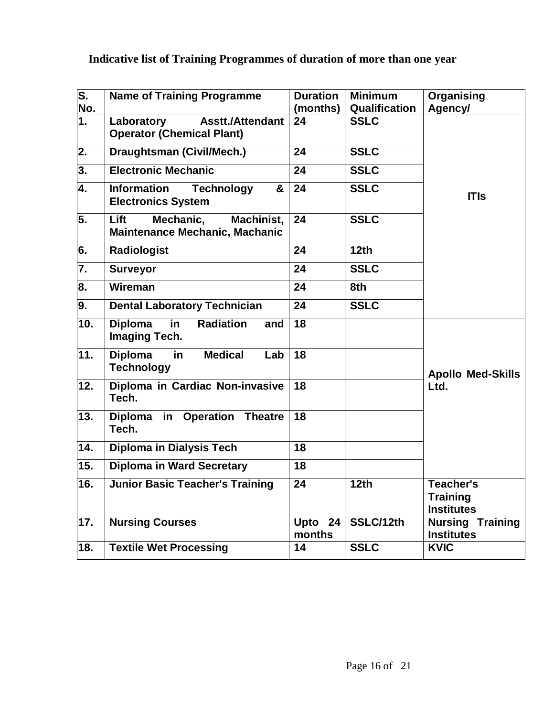# **Indicative list of Training Programmes of duration of more than one year**

| $\overline{\mathsf{s}}$ .<br>No. | <b>Name of Training Programme</b>                                         | <b>Duration</b><br>(months) | <b>Minimum</b><br>Qualification | Organising<br>Agency/                             |
|----------------------------------|---------------------------------------------------------------------------|-----------------------------|---------------------------------|---------------------------------------------------|
| $\overline{1}$ .                 | <b>Asstt./Attendant</b><br>Laboratory<br><b>Operator (Chemical Plant)</b> | 24                          | <b>SSLC</b>                     |                                                   |
| $\overline{2}$ .                 | Draughtsman (Civil/Mech.)                                                 | 24                          | <b>SSLC</b>                     |                                                   |
| $\overline{\mathbf{3}}$ .        | <b>Electronic Mechanic</b>                                                | 24                          | <b>SSLC</b>                     |                                                   |
| 4.                               | <b>Information</b><br><b>Technology</b><br>&<br><b>Electronics System</b> | 24                          | <b>SSLC</b>                     | <b>ITIs</b>                                       |
| 5.                               | Lift<br>Mechanic,<br>Machinist,<br>Maintenance Mechanic, Machanic         | 24                          | <b>SSLC</b>                     |                                                   |
| 6.                               | <b>Radiologist</b>                                                        | 24                          | 12th                            |                                                   |
| 7.                               | <b>Surveyor</b>                                                           | 24                          | <b>SSLC</b>                     |                                                   |
| 8.                               | <b>Wireman</b>                                                            | 24                          | 8th                             |                                                   |
| $\overline{9}$ .                 | <b>Dental Laboratory Technician</b>                                       | $\overline{24}$             | <b>SSLC</b>                     |                                                   |
| 10.                              | <b>Diploma</b><br>in<br><b>Radiation</b><br>and<br><b>Imaging Tech.</b>   | 18                          |                                 |                                                   |
| $\overline{11}$ .                | <b>Diploma</b><br><b>Medical</b><br>in.<br>Lab<br><b>Technology</b>       | 18                          |                                 | <b>Apollo Med-Skills</b>                          |
| 12.                              | Diploma in Cardiac Non-invasive<br>Tech.                                  | 18                          |                                 | Ltd.                                              |
| 13.                              | Diploma in Operation Theatre<br>Tech.                                     | $\overline{18}$             |                                 |                                                   |
| 14.                              | <b>Diploma in Dialysis Tech</b>                                           | $\overline{18}$             |                                 |                                                   |
| 15.                              | <b>Diploma in Ward Secretary</b>                                          | 18                          |                                 |                                                   |
| 16.                              | <b>Junior Basic Teacher's Training</b>                                    | 24                          | 12th                            | Teacher's<br><b>Training</b><br><b>Institutes</b> |
| 17.                              | <b>Nursing Courses</b>                                                    | Upto 24<br>months           | SSLC/12th                       | <b>Nursing Training</b><br><b>Institutes</b>      |
| $\overline{18}$ .                | <b>Textile Wet Processing</b>                                             | 14                          | <b>SSLC</b>                     | <b>KVIC</b>                                       |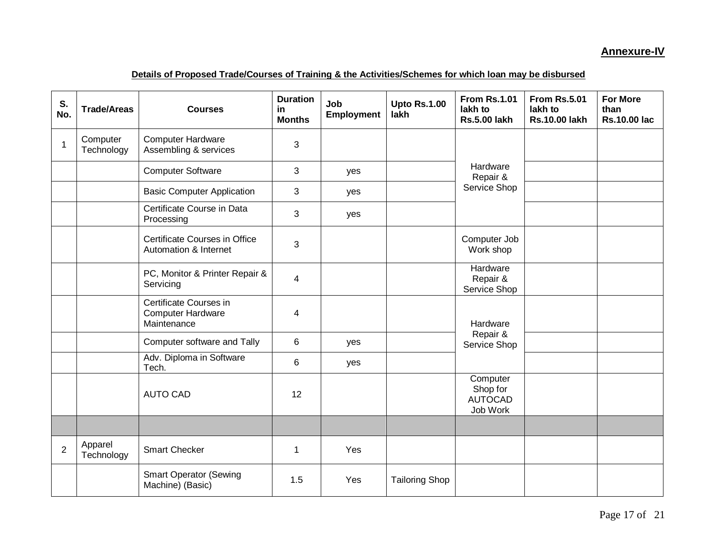#### **Annexure-IV**

#### **Details of Proposed Trade/Courses of Training & the Activities/Schemes for which loan may be disbursed**

| S.<br>No.      | <b>Trade/Areas</b>     | <b>Courses</b>                                                    | <b>Duration</b><br>in<br><b>Months</b> | Job<br><b>Employment</b> | <b>Upto Rs.1.00</b><br>lakh | <b>From Rs.1.01</b><br>lakh to<br><b>Rs.5.00 lakh</b> | <b>From Rs.5.01</b><br>lakh to<br><b>Rs.10.00 lakh</b> | <b>For More</b><br>than<br><b>Rs.10.00 lac</b> |
|----------------|------------------------|-------------------------------------------------------------------|----------------------------------------|--------------------------|-----------------------------|-------------------------------------------------------|--------------------------------------------------------|------------------------------------------------|
| 1              | Computer<br>Technology | <b>Computer Hardware</b><br>Assembling & services                 | 3                                      |                          |                             |                                                       |                                                        |                                                |
|                |                        | <b>Computer Software</b>                                          | 3                                      | yes                      |                             | Hardware<br>Repair &                                  |                                                        |                                                |
|                |                        | <b>Basic Computer Application</b>                                 | 3                                      | yes                      |                             | Service Shop                                          |                                                        |                                                |
|                |                        | Certificate Course in Data<br>Processing                          | 3                                      | yes                      |                             |                                                       |                                                        |                                                |
|                |                        | Certificate Courses in Office<br>Automation & Internet            | 3                                      |                          |                             | Computer Job<br>Work shop                             |                                                        |                                                |
|                |                        | PC, Monitor & Printer Repair &<br>Servicing                       | 4                                      |                          |                             | Hardware<br>Repair &<br>Service Shop                  |                                                        |                                                |
|                |                        | Certificate Courses in<br><b>Computer Hardware</b><br>Maintenance | 4                                      |                          |                             | Hardware                                              |                                                        |                                                |
|                |                        | Computer software and Tally                                       | 6                                      | yes                      |                             | Repair &<br>Service Shop                              |                                                        |                                                |
|                |                        | Adv. Diploma in Software<br>Tech.                                 | 6                                      | yes                      |                             |                                                       |                                                        |                                                |
|                |                        | <b>AUTO CAD</b>                                                   | 12                                     |                          |                             | Computer<br>Shop for<br><b>AUTOCAD</b><br>Job Work    |                                                        |                                                |
|                |                        |                                                                   |                                        |                          |                             |                                                       |                                                        |                                                |
| $\overline{2}$ | Apparel<br>Technology  | <b>Smart Checker</b>                                              | 1                                      | Yes                      |                             |                                                       |                                                        |                                                |
|                |                        | <b>Smart Operator (Sewing</b><br>Machine) (Basic)                 | 1.5                                    | Yes                      | <b>Tailoring Shop</b>       |                                                       |                                                        |                                                |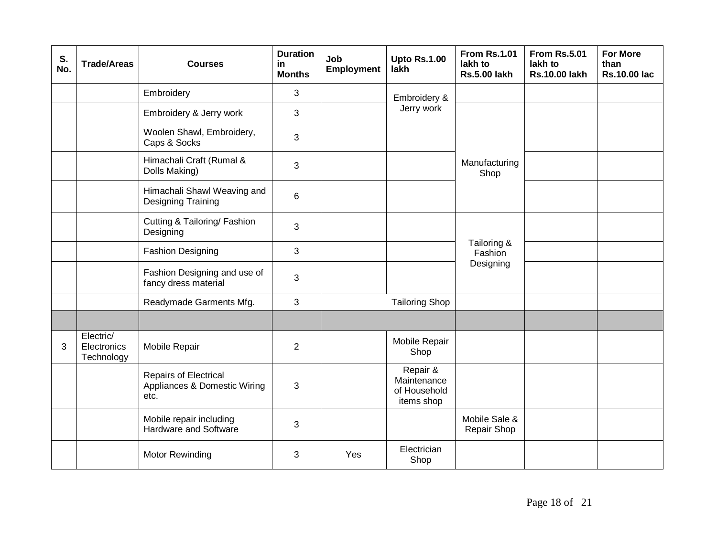| S.<br>No. | <b>Trade/Areas</b>                     | <b>Courses</b>                                                       | <b>Duration</b><br>in<br><b>Months</b> | Job<br><b>Employment</b> | <b>Upto Rs.1.00</b><br>lakh                           | <b>From Rs.1.01</b><br>lakh to<br><b>Rs.5.00 lakh</b> | <b>From Rs.5.01</b><br>lakh to<br><b>Rs.10.00 lakh</b> | <b>For More</b><br>than<br><b>Rs.10.00 lac</b> |
|-----------|----------------------------------------|----------------------------------------------------------------------|----------------------------------------|--------------------------|-------------------------------------------------------|-------------------------------------------------------|--------------------------------------------------------|------------------------------------------------|
|           |                                        | Embroidery                                                           | 3                                      |                          | Embroidery &                                          |                                                       |                                                        |                                                |
|           |                                        | Embroidery & Jerry work                                              | 3                                      |                          | Jerry work                                            |                                                       |                                                        |                                                |
|           |                                        | Woolen Shawl, Embroidery,<br>Caps & Socks                            | 3                                      |                          |                                                       |                                                       |                                                        |                                                |
|           |                                        | Himachali Craft (Rumal &<br>Dolls Making)                            | 3                                      |                          |                                                       | Manufacturing<br>Shop                                 |                                                        |                                                |
|           |                                        | Himachali Shawl Weaving and<br><b>Designing Training</b>             | 6                                      |                          |                                                       |                                                       |                                                        |                                                |
|           |                                        | Cutting & Tailoring/ Fashion<br>Designing                            | 3                                      |                          |                                                       |                                                       |                                                        |                                                |
|           |                                        | <b>Fashion Designing</b>                                             | 3                                      |                          |                                                       | Tailoring &<br>Fashion                                |                                                        |                                                |
|           |                                        | Fashion Designing and use of<br>fancy dress material                 | 3                                      |                          |                                                       | Designing                                             |                                                        |                                                |
|           |                                        | Readymade Garments Mfg.                                              | 3                                      |                          | <b>Tailoring Shop</b>                                 |                                                       |                                                        |                                                |
|           |                                        |                                                                      |                                        |                          |                                                       |                                                       |                                                        |                                                |
| 3         | Electric/<br>Electronics<br>Technology | Mobile Repair                                                        | $\overline{2}$                         |                          | Mobile Repair<br>Shop                                 |                                                       |                                                        |                                                |
|           |                                        | <b>Repairs of Electrical</b><br>Appliances & Domestic Wiring<br>etc. | 3                                      |                          | Repair &<br>Maintenance<br>of Household<br>items shop |                                                       |                                                        |                                                |
|           |                                        | Mobile repair including<br>Hardware and Software                     | 3                                      |                          |                                                       | Mobile Sale &<br>Repair Shop                          |                                                        |                                                |
|           |                                        | Motor Rewinding                                                      | 3                                      | Yes                      | Electrician<br>Shop                                   |                                                       |                                                        |                                                |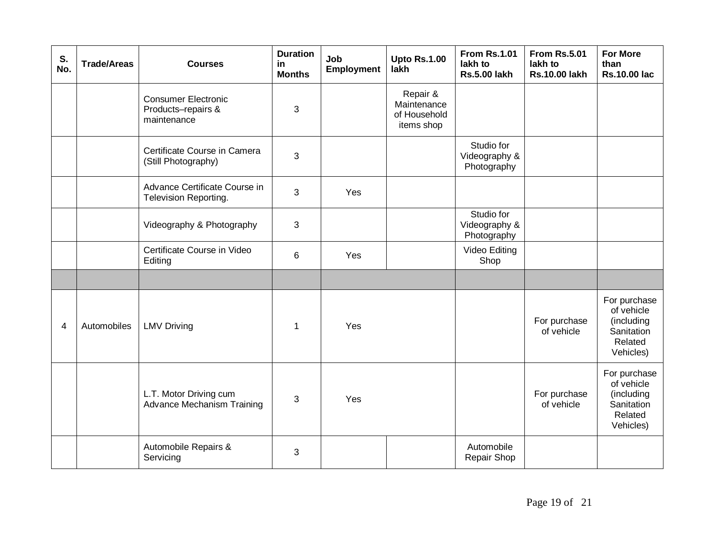| S.<br>No. | <b>Trade/Areas</b> | <b>Courses</b>                                                  | <b>Duration</b><br>in<br><b>Months</b> | Job<br><b>Employment</b> | <b>Upto Rs.1.00</b><br>lakh                           | <b>From Rs.1.01</b><br>lakh to<br><b>Rs.5.00 lakh</b> | <b>From Rs.5.01</b><br>lakh to<br><b>Rs.10.00 lakh</b> | <b>For More</b><br>than<br><b>Rs.10.00 lac</b>                                 |
|-----------|--------------------|-----------------------------------------------------------------|----------------------------------------|--------------------------|-------------------------------------------------------|-------------------------------------------------------|--------------------------------------------------------|--------------------------------------------------------------------------------|
|           |                    | <b>Consumer Electronic</b><br>Products-repairs &<br>maintenance | 3                                      |                          | Repair &<br>Maintenance<br>of Household<br>items shop |                                                       |                                                        |                                                                                |
|           |                    | Certificate Course in Camera<br>(Still Photography)             | 3                                      |                          |                                                       | Studio for<br>Videography &<br>Photography            |                                                        |                                                                                |
|           |                    | Advance Certificate Course in<br>Television Reporting.          | 3                                      | Yes                      |                                                       |                                                       |                                                        |                                                                                |
|           |                    | Videography & Photography                                       | 3                                      |                          |                                                       | Studio for<br>Videography &<br>Photography            |                                                        |                                                                                |
|           |                    | Certificate Course in Video<br>Editing                          | 6                                      | Yes                      |                                                       | Video Editing<br>Shop                                 |                                                        |                                                                                |
|           |                    |                                                                 |                                        |                          |                                                       |                                                       |                                                        |                                                                                |
| 4         | Automobiles        | <b>LMV Driving</b>                                              | 1                                      | Yes                      |                                                       |                                                       | For purchase<br>of vehicle                             | For purchase<br>of vehicle<br>(including<br>Sanitation<br>Related<br>Vehicles) |
|           |                    | L.T. Motor Driving cum<br>Advance Mechanism Training            | 3                                      | Yes                      |                                                       |                                                       | For purchase<br>of vehicle                             | For purchase<br>of vehicle<br>(including<br>Sanitation<br>Related<br>Vehicles) |
|           |                    | Automobile Repairs &<br>Servicing                               | 3                                      |                          |                                                       | Automobile<br>Repair Shop                             |                                                        |                                                                                |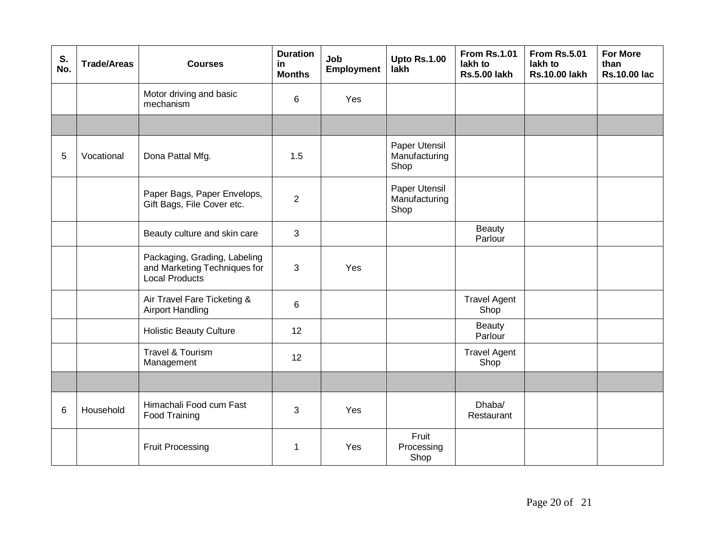| S.<br>No. | <b>Trade/Areas</b> | <b>Courses</b>                                                                        | <b>Duration</b><br>in<br><b>Months</b> | Job<br><b>Employment</b> | <b>Upto Rs.1.00</b><br>lakh            | <b>From Rs.1.01</b><br>lakh to<br><b>Rs.5.00 lakh</b> | <b>From Rs.5.01</b><br>lakh to<br><b>Rs.10.00 lakh</b> | <b>For More</b><br>than<br><b>Rs.10.00 lac</b> |
|-----------|--------------------|---------------------------------------------------------------------------------------|----------------------------------------|--------------------------|----------------------------------------|-------------------------------------------------------|--------------------------------------------------------|------------------------------------------------|
|           |                    | Motor driving and basic<br>mechanism                                                  | 6                                      | Yes                      |                                        |                                                       |                                                        |                                                |
|           |                    |                                                                                       |                                        |                          |                                        |                                                       |                                                        |                                                |
| 5         | Vocational         | Dona Pattal Mfg.                                                                      | 1.5                                    |                          | Paper Utensil<br>Manufacturing<br>Shop |                                                       |                                                        |                                                |
|           |                    | Paper Bags, Paper Envelops,<br>Gift Bags, File Cover etc.                             | $\overline{2}$                         |                          | Paper Utensil<br>Manufacturing<br>Shop |                                                       |                                                        |                                                |
|           |                    | Beauty culture and skin care                                                          | 3                                      |                          |                                        | <b>Beauty</b><br>Parlour                              |                                                        |                                                |
|           |                    | Packaging, Grading, Labeling<br>and Marketing Techniques for<br><b>Local Products</b> | 3                                      | Yes                      |                                        |                                                       |                                                        |                                                |
|           |                    | Air Travel Fare Ticketing &<br><b>Airport Handling</b>                                | 6                                      |                          |                                        | <b>Travel Agent</b><br>Shop                           |                                                        |                                                |
|           |                    | <b>Holistic Beauty Culture</b>                                                        | 12                                     |                          |                                        | <b>Beauty</b><br>Parlour                              |                                                        |                                                |
|           |                    | Travel & Tourism<br>Management                                                        | 12                                     |                          |                                        | <b>Travel Agent</b><br>Shop                           |                                                        |                                                |
|           |                    |                                                                                       |                                        |                          |                                        |                                                       |                                                        |                                                |
| 6         | Household          | Himachali Food cum Fast<br>Food Training                                              | 3                                      | Yes                      |                                        | Dhaba/<br>Restaurant                                  |                                                        |                                                |
|           |                    | <b>Fruit Processing</b>                                                               | 1                                      | Yes                      | Fruit<br>Processing<br>Shop            |                                                       |                                                        |                                                |